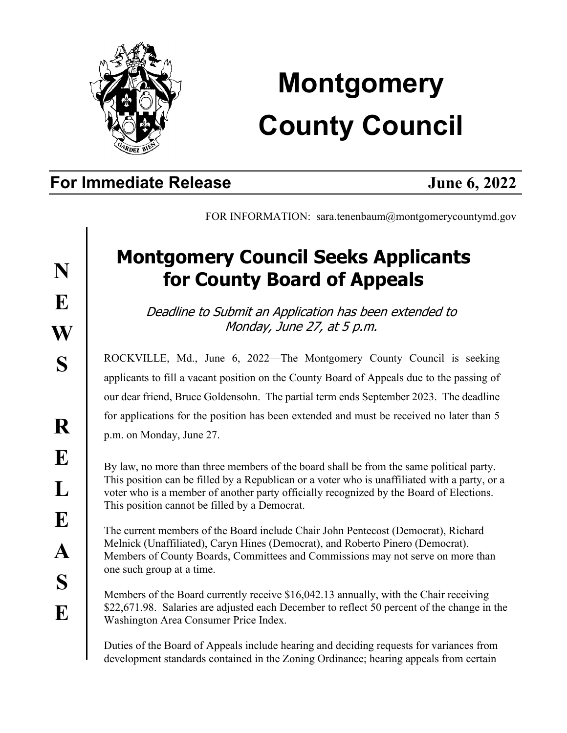

## **Montgomery County Council**

## **For Immediate Release June 6, 2022**

FOR INFORMATION: sara.tenenbaum@montgomerycountymd.gov

## **Montgomery Council Seeks Applicants for County Board of Appeals**

Deadline to Submit an Application has been extended to Monday, June 27, at 5 p.m.

ROCKVILLE, Md., June 6, 2022—The Montgomery County Council is seeking applicants to fill a vacant position on the County Board of Appeals due to the passing of our dear friend, Bruce Goldensohn. The partial term ends September 2023. The deadline for applications for the position has been extended and must be received no later than 5 p.m. on Monday, June 27.

By law, no more than three members of the board shall be from the same political party. This position can be filled by a Republican or a voter who is unaffiliated with a party, or a voter who is a member of another party officially recognized by the Board of Elections. This position cannot be filled by a Democrat.

The current members of the Board include Chair John Pentecost (Democrat), Richard Melnick (Unaffiliated), Caryn Hines (Democrat), and Roberto Pinero (Democrat). Members of County Boards, Committees and Commissions may not serve on more than one such group at a time.

Members of the Board currently receive \$16,042.13 annually, with the Chair receiving \$22,671.98. Salaries are adjusted each December to reflect 50 percent of the change in the Washington Area Consumer Price Index.

Duties of the Board of Appeals include hearing and deciding requests for variances from development standards contained in the Zoning Ordinance; hearing appeals from certain